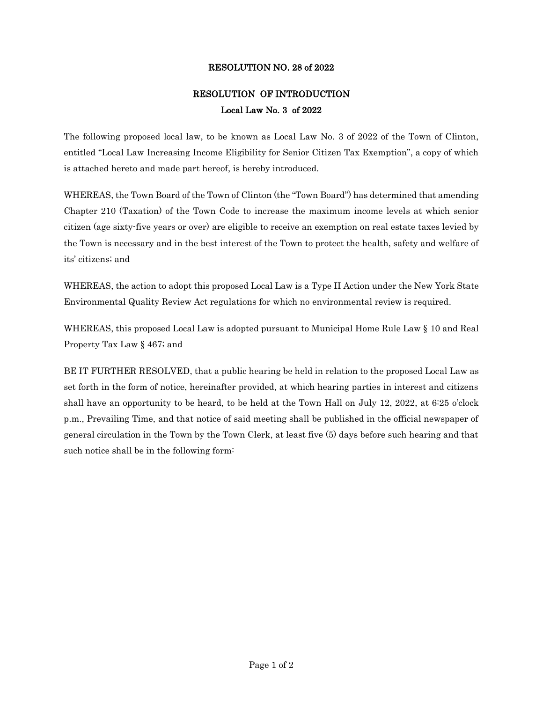## RESOLUTION NO. 28 of 2022

## RESOLUTION OF INTRODUCTION Local Law No. 3 of 2022

The following proposed local law, to be known as Local Law No. 3 of 2022 of the Town of Clinton, entitled "Local Law Increasing Income Eligibility for Senior Citizen Tax Exemption", a copy of which is attached hereto and made part hereof, is hereby introduced.

WHEREAS, the Town Board of the Town of Clinton (the "Town Board") has determined that amending Chapter 210 (Taxation) of the Town Code to increase the maximum income levels at which senior citizen (age sixty-five years or over) are eligible to receive an exemption on real estate taxes levied by the Town is necessary and in the best interest of the Town to protect the health, safety and welfare of its' citizens; and

WHEREAS, the action to adopt this proposed Local Law is a Type II Action under the New York State Environmental Quality Review Act regulations for which no environmental review is required.

WHEREAS, this proposed Local Law is adopted pursuant to Municipal Home Rule Law § 10 and Real Property Tax Law § 467; and

BE IT FURTHER RESOLVED, that a public hearing be held in relation to the proposed Local Law as set forth in the form of notice, hereinafter provided, at which hearing parties in interest and citizens shall have an opportunity to be heard, to be held at the Town Hall on July 12, 2022, at 6:25 o'clock p.m., Prevailing Time, and that notice of said meeting shall be published in the official newspaper of general circulation in the Town by the Town Clerk, at least five (5) days before such hearing and that such notice shall be in the following form: